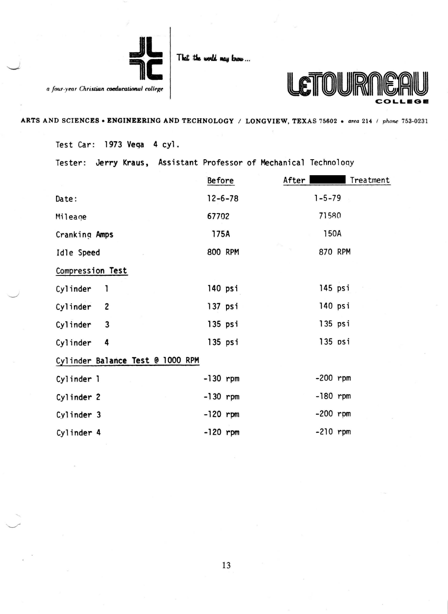

That the world may

a four-year Christian coeducational college



ARTS AND SCIENCES • ENGINEERING AND TECHNOLOGY / LONGVIEW, TEXAS 75602 • area 214 / phone 753-0231

Test Car: 1973 Vega 4 cyl.

Tester: Jerry Kraus, Assistant Professor of Mechanical Technology

|                                     | <b>Before</b> | After  <br>Treatment                          |
|-------------------------------------|---------------|-----------------------------------------------|
| Date:                               | $12 - 6 - 78$ | $1 - 5 - 79$                                  |
| Mileage                             | 67702         | 71580                                         |
| Cranking Amps                       | 175A          | 150A                                          |
| Idle Speed                          | 800 RPM       | $\hat{\rho}^{(i)} _{\mathbb{R}^2}$<br>870 RPM |
| Compression Test                    |               |                                               |
| Cylinder<br>1                       | 140 psi       | 145 psi                                       |
| Cylinder<br>$\overline{\mathbf{c}}$ | $137$ psi     | $140$ psi                                     |
| Cylinder<br>3                       | $135$ psi     | $135$ psi                                     |
| Cylinder<br>4                       | $135$ psi     | $135$ $psi$                                   |
| Cylinder Balance Test @ 1000 RPM    |               |                                               |
| Cylinder 1                          | $-130$ rpm    | $-200$ rpm                                    |
| Cylinder 2                          | $-130$ rpm    | $-180$ rpm                                    |
| Cylinder 3                          | $-120$ rpm    | $-200$ rpm                                    |
| Cylinder 4                          | $-120$ rpm    | $-210$ rpm                                    |